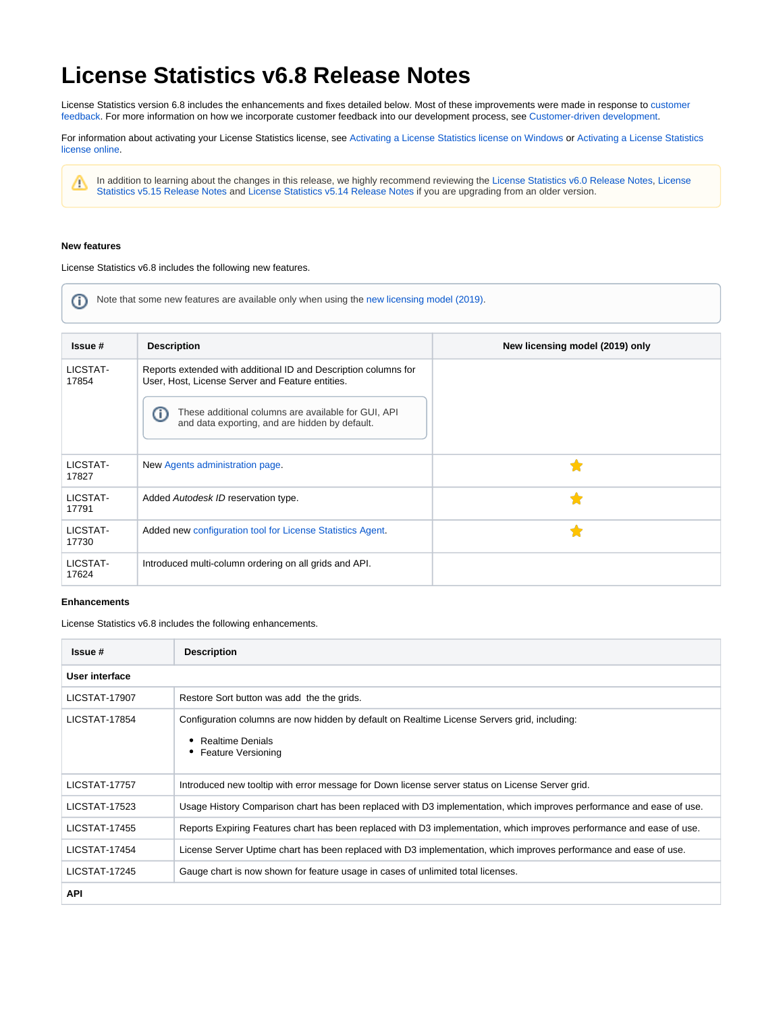## **License Statistics v6.8 Release Notes**

License Statistics version 6.8 includes the enhancements and fixes detailed below. Most of these improvements were made in response to [customer](https://feedback.x-formation.com/)  [feedback](https://feedback.x-formation.com/). For more information on how we incorporate customer feedback into our development process, see [Customer-driven development](https://docs.x-formation.com/display/GEN/Customer-driven+development).

For information about activating your License Statistics license, see [Activating a License Statistics license on Windows](https://docs.x-formation.com/display/LICSTAT/Activating+a+License+Statistics+license+on+Windows) or [Activating a License Statistics](https://docs.x-formation.com/display/LICSTAT/Activating+a+License+Statistics+license+online)  [license online](https://docs.x-formation.com/display/LICSTAT/Activating+a+License+Statistics+license+online).

In addition to learning about the changes in this release, we highly recommend reviewing the [License Statistics v6.0 Release Notes,](https://docs.x-formation.com/display/LICSTAT/License+Statistics+v6.0+Release+Notes) [License](https://docs.x-formation.com/display/LICSTAT/License+Statistics+v5.15.0+Release+Notes)  [Statistics v5.15 Release Notes](https://docs.x-formation.com/display/LICSTAT/License+Statistics+v5.15.0+Release+Notes) and [License Statistics v5.14 Release Notes](https://docs.x-formation.com/display/LICSTAT/License+Statistics+v5.14+Release+Notes) if you are upgrading from an older version.

## **New features**

Δ

License Statistics v6.8 includes the following new features.

⊕ Note that some new features are available only when using the [new licensing model \(2019\)](https://docs.x-formation.com/display/LICSTAT/New+licensing+model+-+2019).

| Issue #           | <b>Description</b>                                                                                                  | New licensing model (2019) only |
|-------------------|---------------------------------------------------------------------------------------------------------------------|---------------------------------|
| LICSTAT-<br>17854 | Reports extended with additional ID and Description columns for<br>User, Host, License Server and Feature entities. |                                 |
|                   | These additional columns are available for GUI, API<br>O<br>and data exporting, and are hidden by default.          |                                 |
| LICSTAT-<br>17827 | New Agents administration page.                                                                                     |                                 |
| LICSTAT-<br>17791 | Added Autodesk ID reservation type.                                                                                 | ◆                               |
| LICSTAT-<br>17730 | Added new configuration tool for License Statistics Agent.                                                          |                                 |
| LICSTAT-<br>17624 | Introduced multi-column ordering on all grids and API.                                                              |                                 |

## **Enhancements**

License Statistics v6.8 includes the following enhancements.

| Issue #              | <b>Description</b>                                                                                                                                   |  |
|----------------------|------------------------------------------------------------------------------------------------------------------------------------------------------|--|
| User interface       |                                                                                                                                                      |  |
| LICSTAT-17907        | Restore Sort button was add the the grids.                                                                                                           |  |
| LICSTAT-17854        | Configuration columns are now hidden by default on Realtime License Servers grid, including:<br><b>Realtime Denials</b><br><b>Feature Versioning</b> |  |
| <b>LICSTAT-17757</b> | Introduced new tooltip with error message for Down license server status on License Server grid.                                                     |  |
| <b>LICSTAT-17523</b> | Usage History Comparison chart has been replaced with D3 implementation, which improves performance and ease of use.                                 |  |
| <b>LICSTAT-17455</b> | Reports Expiring Features chart has been replaced with D3 implementation, which improves performance and ease of use.                                |  |
| <b>LICSTAT-17454</b> | License Server Uptime chart has been replaced with D3 implementation, which improves performance and ease of use.                                    |  |
| LICSTAT-17245        | Gauge chart is now shown for feature usage in cases of unlimited total licenses.                                                                     |  |
| <b>API</b>           |                                                                                                                                                      |  |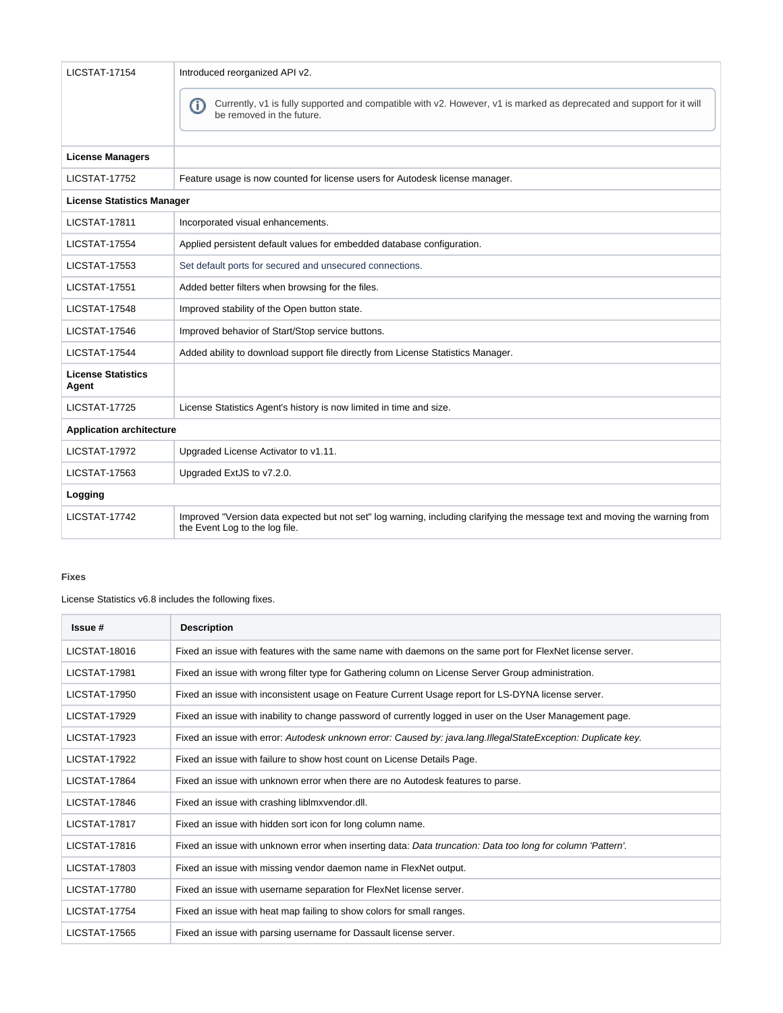| <b>LICSTAT-17154</b>               | Introduced reorganized API v2.                                                                                                                                |  |
|------------------------------------|---------------------------------------------------------------------------------------------------------------------------------------------------------------|--|
|                                    | ന<br>Currently, v1 is fully supported and compatible with v2. However, v1 is marked as deprecated and support for it will<br>be removed in the future.        |  |
| <b>License Managers</b>            |                                                                                                                                                               |  |
| <b>LICSTAT-17752</b>               | Feature usage is now counted for license users for Autodesk license manager.                                                                                  |  |
| <b>License Statistics Manager</b>  |                                                                                                                                                               |  |
| <b>LICSTAT-17811</b>               | Incorporated visual enhancements.                                                                                                                             |  |
| <b>LICSTAT-17554</b>               | Applied persistent default values for embedded database configuration.                                                                                        |  |
| <b>LICSTAT-17553</b>               | Set default ports for secured and unsecured connections.                                                                                                      |  |
| <b>LICSTAT-17551</b>               | Added better filters when browsing for the files.                                                                                                             |  |
| <b>LICSTAT-17548</b>               | Improved stability of the Open button state.                                                                                                                  |  |
| <b>LICSTAT-17546</b>               | Improved behavior of Start/Stop service buttons.                                                                                                              |  |
| <b>LICSTAT-17544</b>               | Added ability to download support file directly from License Statistics Manager.                                                                              |  |
| <b>License Statistics</b><br>Agent |                                                                                                                                                               |  |
| <b>LICSTAT-17725</b>               | License Statistics Agent's history is now limited in time and size.                                                                                           |  |
| <b>Application architecture</b>    |                                                                                                                                                               |  |
| <b>LICSTAT-17972</b>               | Upgraded License Activator to v1.11.                                                                                                                          |  |
| <b>LICSTAT-17563</b>               | Upgraded ExtJS to v7.2.0.                                                                                                                                     |  |
| Logging                            |                                                                                                                                                               |  |
| LICSTAT-17742                      | Improved "Version data expected but not set" log warning, including clarifying the message text and moving the warning from<br>the Event Log to the log file. |  |

## **Fixes**

License Statistics v6.8 includes the following fixes.

| Issue #              | <b>Description</b>                                                                                            |
|----------------------|---------------------------------------------------------------------------------------------------------------|
| LICSTAT-18016        | Fixed an issue with features with the same name with daemons on the same port for FlexNet license server.     |
| <b>LICSTAT-17981</b> | Fixed an issue with wrong filter type for Gathering column on License Server Group administration.            |
| LICSTAT-17950        | Fixed an issue with inconsistent usage on Feature Current Usage report for LS-DYNA license server.            |
| <b>LICSTAT-17929</b> | Fixed an issue with inability to change password of currently logged in user on the User Management page.     |
| <b>LICSTAT-17923</b> | Fixed an issue with error: Autodesk unknown error: Caused by: java.lang.IllegalStateException: Duplicate key. |
| <b>LICSTAT-17922</b> | Fixed an issue with failure to show host count on License Details Page.                                       |
| LICSTAT-17864        | Fixed an issue with unknown error when there are no Autodesk features to parse.                               |
| <b>LICSTAT-17846</b> | Fixed an issue with crashing liblmxvendor.dll.                                                                |
| <b>LICSTAT-17817</b> | Fixed an issue with hidden sort icon for long column name.                                                    |
| <b>LICSTAT-17816</b> | Fixed an issue with unknown error when inserting data: Data truncation: Data too long for column 'Pattern'.   |
| <b>LICSTAT-17803</b> | Fixed an issue with missing vendor daemon name in FlexNet output.                                             |
| <b>LICSTAT-17780</b> | Fixed an issue with username separation for FlexNet license server.                                           |
| <b>LICSTAT-17754</b> | Fixed an issue with heat map failing to show colors for small ranges.                                         |
| <b>LICSTAT-17565</b> | Fixed an issue with parsing username for Dassault license server.                                             |